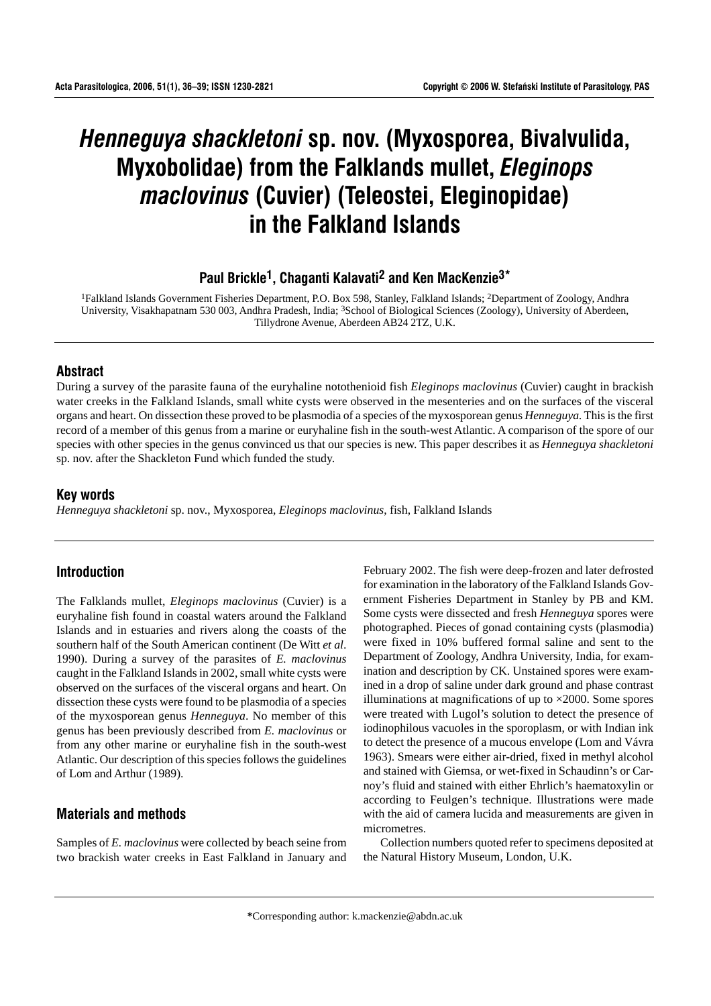# *Henneguya shackletoni* **sp. nov. (Myxosporea, Bivalvulida, Myxobolidae) from the Falklands mullet,** *Eleginops maclovinus* **(Cuvier) (Teleostei, Eleginopidae) in the Falkland Islands**

# **Paul Brickle1, Chaganti Kalavati2 and Ken MacKenzie3\***

1Falkland Islands Government Fisheries Department, P.O. Box 598, Stanley, Falkland Islands; 2Department of Zoology, Andhra University, Visakhapatnam 530 003, Andhra Pradesh, India; 3School of Biological Sciences (Zoology), University of Aberdeen, Tillydrone Avenue, Aberdeen AB24 2TZ, U.K.

#### **Abstract**

During a survey of the parasite fauna of the euryhaline notothenioid fish *Eleginops maclovinus* (Cuvier) caught in brackish water creeks in the Falkland Islands, small white cysts were observed in the mesenteries and on the surfaces of the visceral organs and heart. On dissection these proved to be plasmodia of a species of the myxosporean genus *Henneguya.* This is the first record of a member of this genus from a marine or euryhaline fish in the south-west Atlantic. A comparison of the spore of our species with other species in the genus convinced us that our species is new. This paper describes it as *Henneguya shackletoni* sp. nov. after the Shackleton Fund which funded the study.

## **Key words**

*Henneguya shackletoni* sp. nov., Myxosporea, *Eleginops maclovinus*, fish, Falkland Islands

# **Introduction**

The Falklands mullet, *Eleginops maclovinus* (Cuvier) is a euryhaline fish found in coastal waters around the Falkland Islands and in estuaries and rivers along the coasts of the southern half of the South American continent (De Witt *et al*. 1990). During a survey of the parasites of *E. maclovinus* caught in the Falkland Islands in 2002, small white cysts were observed on the surfaces of the visceral organs and heart. On dissection these cysts were found to be plasmodia of a species of the myxosporean genus *Henneguya*. No member of this genus has been previously described from *E. maclovinus* or from any other marine or euryhaline fish in the south-west Atlantic. Our description of this species follows the guidelines of Lom and Arthur (1989).

# **Materials and methods**

Samples of *E. maclovinus* were collected by beach seine from two brackish water creeks in East Falkland in January and February 2002. The fish were deep-frozen and later defrosted for examination in the laboratory of the Falkland Islands Government Fisheries Department in Stanley by PB and KM. Some cysts were dissected and fresh *Henneguya* spores were photographed. Pieces of gonad containing cysts (plasmodia) were fixed in 10% buffered formal saline and sent to the Department of Zoology, Andhra University, India, for examination and description by CK. Unstained spores were examined in a drop of saline under dark ground and phase contrast illuminations at magnifications of up to  $\times$ 2000. Some spores were treated with Lugol's solution to detect the presence of iodinophilous vacuoles in the sporoplasm, or with Indian ink to detect the presence of a mucous envelope (Lom and Vávra 1963). Smears were either air-dried, fixed in methyl alcohol and stained with Giemsa, or wet-fixed in Schaudinn's or Carnoy's fluid and stained with either Ehrlich's haematoxylin or according to Feulgen's technique. Illustrations were made with the aid of camera lucida and measurements are given in micrometres.

Collection numbers quoted refer to specimens deposited at the Natural History Museum, London, U.K.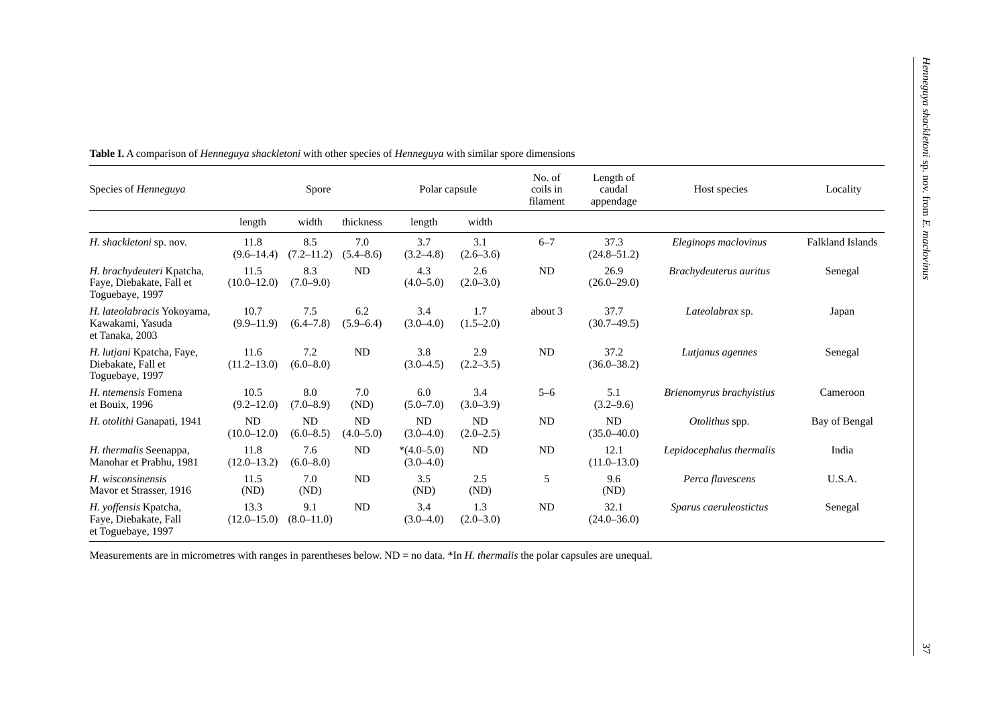| Species of <i>Henneguya</i>                                              | Spore                        |                       |                            | Polar capsule                 |                      | No. of<br>coils in<br>filament | Length of<br>caudal<br>appendage | Host species             | Locality                |
|--------------------------------------------------------------------------|------------------------------|-----------------------|----------------------------|-------------------------------|----------------------|--------------------------------|----------------------------------|--------------------------|-------------------------|
|                                                                          | length                       | width                 | thickness                  | length                        | width                |                                |                                  |                          |                         |
| H. shackletoni sp. nov.                                                  | 11.8<br>$(9.6 - 14.4)$       | 8.5<br>$(7.2 - 11.2)$ | 7.0<br>$(5.4 - 8.6)$       | 3.7<br>$(3.2 - 4.8)$          | 3.1<br>$(2.6 - 3.6)$ | $6 - 7$                        | 37.3<br>$(24.8 - 51.2)$          | Eleginops maclovinus     | <b>Falkland Islands</b> |
| H. brachydeuteri Kpatcha,<br>Faye, Diebakate, Fall et<br>Toguebaye, 1997 | 11.5<br>$(10.0 - 12.0)$      | 8.3<br>$(7.0 - 9.0)$  | ND                         | 4.3<br>$(4.0 - 5.0)$          | 2.6<br>$(2.0 - 3.0)$ | <b>ND</b>                      | 26.9<br>$(26.0 - 29.0)$          | Brachydeuterus auritus   | Senegal                 |
| H. lateolabracis Yokoyama,<br>Kawakami, Yasuda<br>et Tanaka, 2003        | 10.7<br>$(9.9-11.9)$         | 7.5<br>$(6.4 - 7.8)$  | 6.2<br>$(5.9 - 6.4)$       | 3.4<br>$(3.0 - 4.0)$          | 1.7<br>$(1.5-2.0)$   | about 3                        | 37.7<br>$(30.7-49.5)$            | Lateolabrax sp.          | Japan                   |
| H. lutjani Kpatcha, Faye,<br>Diebakate, Fall et<br>Toguebaye, 1997       | 11.6<br>$(11.2 - 13.0)$      | 7.2<br>$(6.0 - 8.0)$  | ND                         | 3.8<br>$(3.0-4.5)$            | 2.9<br>$(2.2 - 3.5)$ | ND                             | 37.2<br>$(36.0 - 38.2)$          | Lutjanus agennes         | Senegal                 |
| H. ntemensis Fomena<br>et Bouix, 1996                                    | 10.5<br>$(9.2 - 12.0)$       | 8.0<br>$(7.0 - 8.9)$  | 7.0<br>(ND)                | 6.0<br>$(5.0 - 7.0)$          | 3.4<br>$(3.0 - 3.9)$ | $5 - 6$                        | 5.1<br>$(3.2 - 9.6)$             | Brienomyrus brachyistius | Cameroon                |
| H. otolithi Ganapati, 1941                                               | <b>ND</b><br>$(10.0 - 12.0)$ | ND<br>$(6.0 - 8.5)$   | <b>ND</b><br>$(4.0 - 5.0)$ | <b>ND</b><br>$(3.0 - 4.0)$    | ND<br>$(2.0-2.5)$    | <b>ND</b>                      | <b>ND</b><br>$(35.0 - 40.0)$     | Otolithus spp.           | Bay of Bengal           |
| H. thermalis Seenappa,<br>Manohar et Prabhu, 1981                        | 11.8<br>$(12.0 - 13.2)$      | 7.6<br>$(6.0 - 8.0)$  | <b>ND</b>                  | $*(4.0 - 5.0)$<br>$(3.0-4.0)$ | <b>ND</b>            | ND                             | 12.1<br>$(11.0 - 13.0)$          | Lepidocephalus thermalis | India                   |
| H. wisconsinensis<br>Mayor et Strasser, 1916                             | 11.5<br>(ND)                 | 7.0<br>(ND)           | <b>ND</b>                  | 3.5<br>(ND)                   | 2.5<br>(ND)          | 5                              | 9.6<br>(ND)                      | Perca flavescens         | U.S.A.                  |
| H. yoffensis Kpatcha,<br>Faye, Diebakate, Fall<br>et Toguebaye, 1997     | 13.3<br>$(12.0 - 15.0)$      | 9.1<br>$(8.0 - 11.0)$ | <b>ND</b>                  | 3.4<br>$(3.0 - 4.0)$          | 1.3<br>$(2.0 - 3.0)$ | <b>ND</b>                      | 32.1<br>$(24.0 - 36.0)$          | Sparus caeruleostictus   | Senegal                 |

**Table I.** A comparison of *Henneguya shackletoni* with other species of *Henneguya* with similar spore dimensions

Measurements are in micrometres with ranges in parentheses below. ND = no data. \*In *H. thermalis* the polar capsules are unequal.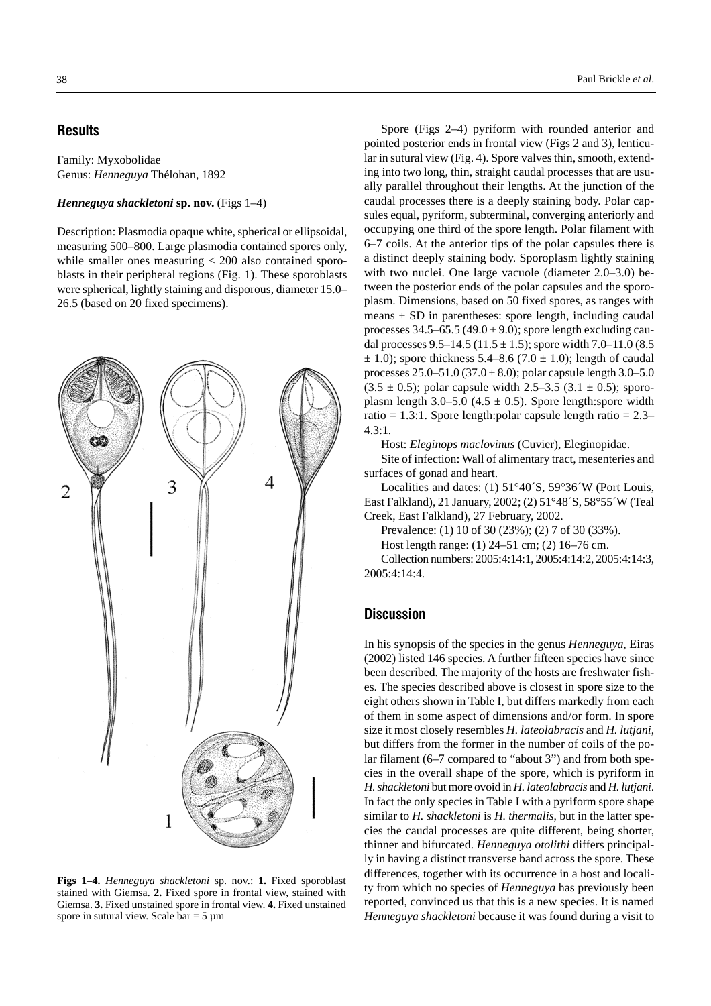# **Results**

Family: Myxobolidae Genus: *Henneguya* Thélohan, 1892

#### *Henneguya shackletoni* **sp. nov.** (Figs 1–4)

Description: Plasmodia opaque white, spherical or ellipsoidal, measuring 500–800. Large plasmodia contained spores only, while smaller ones measuring < 200 also contained sporoblasts in their peripheral regions (Fig. 1). These sporoblasts were spherical, lightly staining and disporous, diameter 15.0– 26.5 (based on 20 fixed specimens).



**Figs 1–4.** *Henneguya shackletoni* sp. nov.: **1.** Fixed sporoblast stained with Giemsa. **2.** Fixed spore in frontal view, stained with Giemsa. **3.** Fixed unstained spore in frontal view. **4.** Fixed unstained spore in sutural view. Scale bar =  $5 \mu m$ 

Spore (Figs 2–4) pyriform with rounded anterior and pointed posterior ends in frontal view (Figs 2 and 3), lenticular in sutural view (Fig. 4). Spore valves thin, smooth, extending into two long, thin, straight caudal processes that are usually parallel throughout their lengths. At the junction of the caudal processes there is a deeply staining body. Polar capsules equal, pyriform, subterminal, converging anteriorly and occupying one third of the spore length. Polar filament with 6–7 coils. At the anterior tips of the polar capsules there is a distinct deeply staining body. Sporoplasm lightly staining with two nuclei. One large vacuole (diameter 2.0–3.0) between the posterior ends of the polar capsules and the sporoplasm. Dimensions, based on 50 fixed spores, as ranges with means  $\pm$  SD in parentheses: spore length, including caudal processes  $34.5-65.5$  (49.0  $\pm$  9.0); spore length excluding caudal processes 9.5–14.5 (11.5  $\pm$  1.5); spore width 7.0–11.0 (8.5)  $\pm$  1.0); spore thickness 5.4–8.6 (7.0  $\pm$  1.0); length of caudal processes  $25.0 - 51.0$  (37.0  $\pm$  8.0); polar capsule length 3.0–5.0  $(3.5 \pm 0.5)$ ; polar capsule width 2.5–3.5  $(3.1 \pm 0.5)$ ; sporoplasm length 3.0–5.0 (4.5  $\pm$  0.5). Spore length:spore width ratio = 1.3:1. Spore length: polar capsule length ratio =  $2.3-$ 4.3:1.

Host: *Eleginops maclovinus* (Cuvier), Eleginopidae.

Site of infection: Wall of alimentary tract, mesenteries and surfaces of gonad and heart.

Localities and dates: (1) 51°40´S, 59°36´W (Port Louis, East Falkland), 21 January, 2002; (2) 51°48´S, 58°55´W (Teal Creek, East Falkland), 27 February, 2002.

Prevalence: (1) 10 of 30 (23%); (2) 7 of 30 (33%).

Host length range: (1) 24–51 cm; (2) 16–76 cm.

Collection numbers: 2005:4:14:1, 2005:4:14:2, 2005:4:14:3, 2005:4:14:4.

#### **Discussion**

In his synopsis of the species in the genus *Henneguya*, Eiras (2002) listed 146 species. A further fifteen species have since been described. The majority of the hosts are freshwater fishes. The species described above is closest in spore size to the eight others shown in Table I, but differs markedly from each of them in some aspect of dimensions and/or form. In spore size it most closely resembles *H. lateolabracis* and *H. lutjani*, but differs from the former in the number of coils of the polar filament (6–7 compared to "about 3") and from both species in the overall shape of the spore, which is pyriform in *H. shackletoni* but more ovoid in *H. lateolabracis* and *H. lutjani*. In fact the only species in Table I with a pyriform spore shape similar to *H. shackletoni* is *H. thermalis*, but in the latter species the caudal processes are quite different, being shorter, thinner and bifurcated. *Henneguya otolithi* differs principally in having a distinct transverse band across the spore. These differences, together with its occurrence in a host and locality from which no species of *Henneguya* has previously been reported, convinced us that this is a new species. It is named *Henneguya shackletoni* because it was found during a visit to